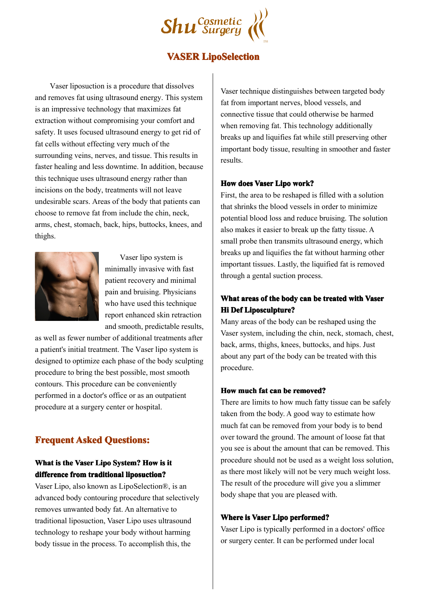

## **VASER LipoSelection**

Vaser liposuction is <sup>a</sup> procedure that dissolves and removes fat using ultrasound energy. This system is an impressive technology that maximizes fat extraction without compromising your comfort and safety. It uses focused ultrasound energy to ge<sup>t</sup> rid of fat cells without effecting very much of the surrounding veins, nerves, and tissue. This results in faster healing and less downtime. In addition, because this technique uses ultrasound energy rather than incisions on the body, treatments will not leave undesirable scars. Areas of the body that patients can choose to remove fat from include the chin, neck, arms, chest, stomach, back, hips, buttocks, knees, and thighs.



Vaser lipo system is minimally invasive with fast patient recovery and minimal pain and bruising. Physicians who have used this technique report enhanced skin retraction and smooth, predictable results,

as well as fewer number of additional treatments after a patient's initial treatment. The Vaser lipo system is designed to optimize each phase of the body sculpting procedure to bring the best possible, most smooth contours. This procedure can be conveniently performed in <sup>a</sup> doctor's office or as an outpatient procedure at <sup>a</sup> surgery center or hospital.

# **Frequent Asked Ouestions:**

### **What** is the Vaser Lipo System? How is it **difference differencefrom traditional traditional liposuction? liposuction?liposuction?**

Vaser Lipo, also known as LipoSelection®, is an advanced body contouring procedure that selectively removes unwanted body fat. An alternative to traditional liposuction, Vaser Lipo uses ultrasound technology to reshape your body without harming body tissue in the process. To accomplish this, the

Vaser technique distinguishes between targeted body fat from important nerves, blood vessels, and connective tissue that could otherwise be harmed when removing fat. This technology additionally breaks up and liquifies fat while still preserving other important body tissue, resulting in smoother and faster results.

#### **How does Vaser Lipo work?**

First, the area to be reshaped is filled with <sup>a</sup> solution that shrinks the blood vessels inorder to minimize potential blood loss and reduce bruising. The solution also makes it easier to break up the fatty tissue. A small probe then transmits ultrasound energy, which breaks up and liquifies the fat without harming other important tissues. Lastly, the liquified fat is removed through <sup>a</sup> gental suction process.

## **What areas of the body can be treated treated with Vaser Hi Def Liposculpture? Liposculpture?**

Many areas of the body can be reshaped using the Vaser system, including the chin, neck, stomach, chest, back, arms, thighs, knees, buttocks, and hips. Just about any part of the body can be treated with this procedure.

#### **How much fat can be removed? removed?**

There are limits to how much fatty tissue can be safely taken from the body. A good way to estimate how much fat can be removed from your body is to bend over toward the ground. The amount of loose fat that you see is about the amount that can be removed. This procedure should not be used as <sup>a</sup> weight loss solution, as there most likely will not be very much weight loss. The result of the procedure will give you <sup>a</sup> slimmer body shape that you are pleased with.

#### **Where is Vaser Lipo performed? performed?**

Vaser Lipo is typically performed in <sup>a</sup> doctors' office or surgery center. It can be performed under local